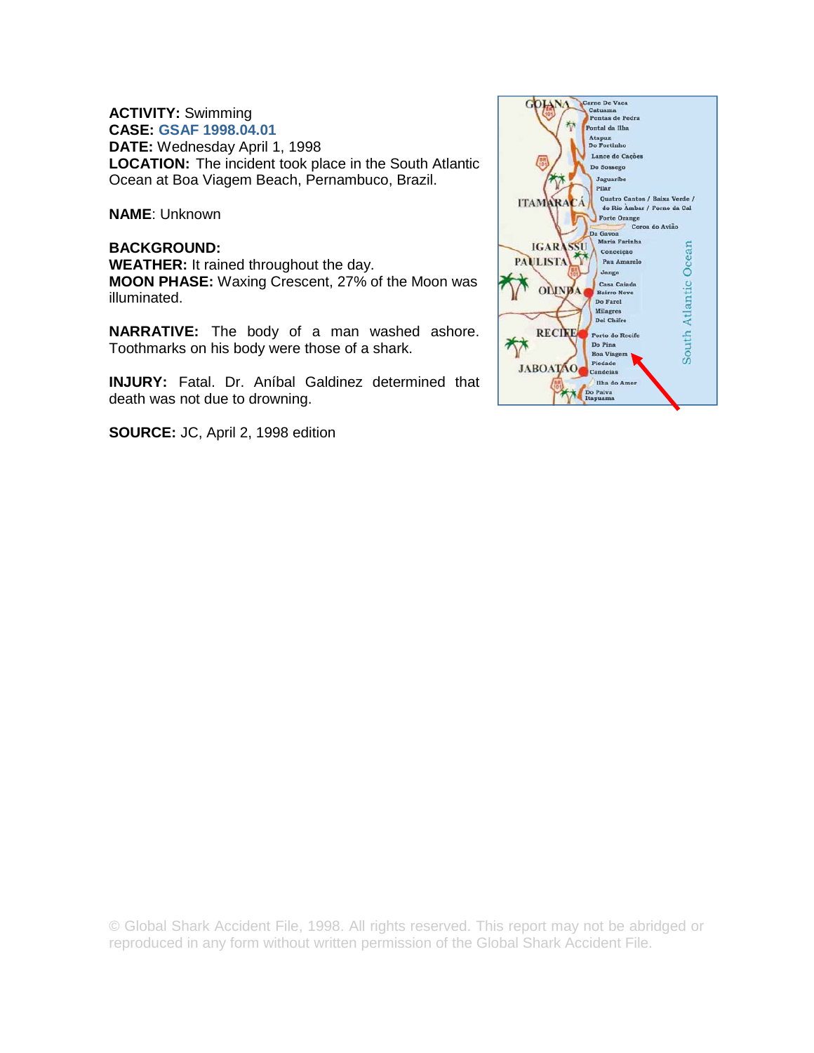# **ACTIVITY:** Swimming

**CASE: GSAF 1998.04.01 DATE:** Wednesday April 1, 1998 **LOCATION:** The incident took place in the South Atlantic Ocean at Boa Viagem Beach, Pernambuco, Brazil.

**NAME**: Unknown

## **BACKGROUND: WEATHER:** It rained throughout the day. **MOON PHASE:** Waxing Crescent, 27% of the Moon was illuminated.

**NARRATIVE:** The body of a man washed ashore. Toothmarks on his body were those of a shark.

**INJURY:** Fatal. Dr. Aníbal Galdinez determined that death was not due to drowning.

**SOURCE:** JC, April 2, 1998 edition



© Global Shark Accident File, 1998. All rights reserved. This report may not be abridged or reproduced in any form without written permission of the Global Shark Accident File.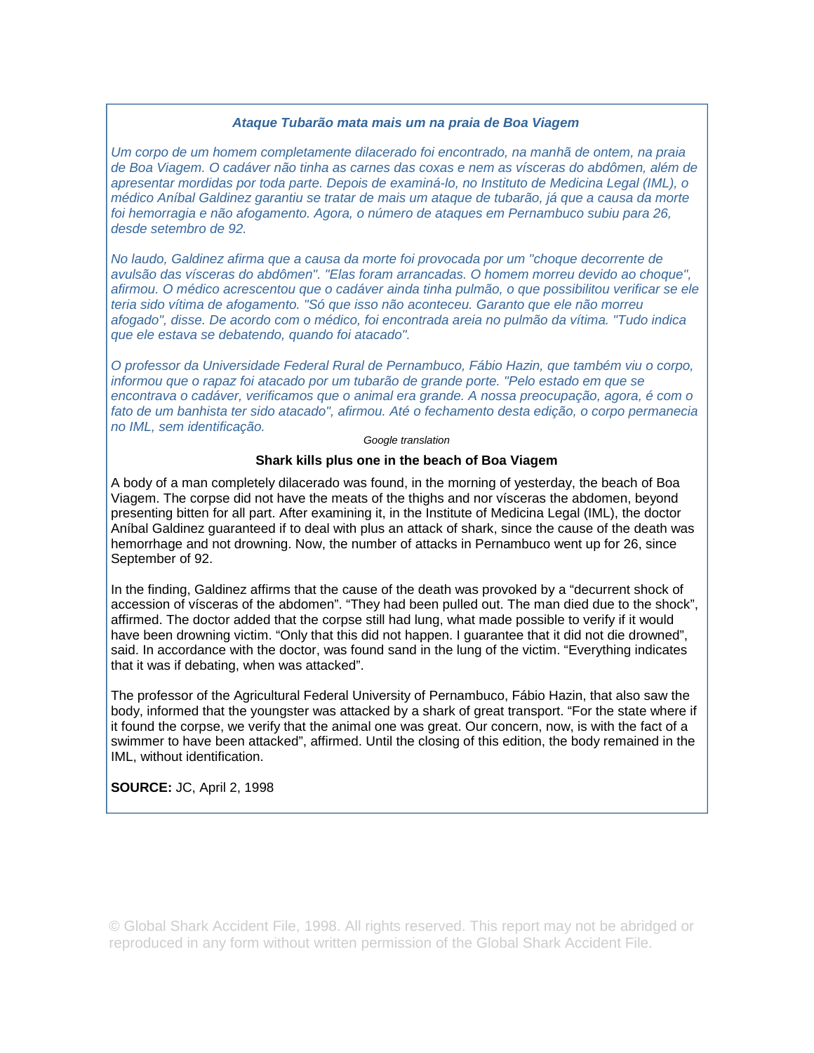#### *Ataque Tubarão mata mais um na praia de Boa Viagem*

*Um corpo de um homem completamente dilacerado foi encontrado, na manhã de ontem, na praia de Boa Viagem. O cadáver não tinha as carnes das coxas e nem as vísceras do abdômen, além de apresentar mordidas por toda parte. Depois de examiná-lo, no Instituto de Medicina Legal (IML), o médico Aníbal Galdinez garantiu se tratar de mais um ataque de tubarão, já que a causa da morte foi hemorragia e não afogamento. Agora, o número de ataques em Pernambuco subiu para 26, desde setembro de 92.* 

*No laudo, Galdinez afirma que a causa da morte foi provocada por um "choque decorrente de avulsão das vísceras do abdômen". "Elas foram arrancadas. O homem morreu devido ao choque", afirmou. O médico acrescentou que o cadáver ainda tinha pulmão, o que possibilitou verificar se ele teria sido vítima de afogamento. "Só que isso não aconteceu. Garanto que ele não morreu afogado", disse. De acordo com o médico, foi encontrada areia no pulmão da vítima. "Tudo indica que ele estava se debatendo, quando foi atacado".* 

*O professor da Universidade Federal Rural de Pernambuco, Fábio Hazin, que também viu o corpo, informou que o rapaz foi atacado por um tubarão de grande porte. "Pelo estado em que se encontrava o cadáver, verificamos que o animal era grande. A nossa preocupação, agora, é com o fato de um banhista ter sido atacado", afirmou. Até o fechamento desta edição, o corpo permanecia no IML, sem identificação.* 

#### *Google translation*

### **Shark kills plus one in the beach of Boa Viagem**

A body of a man completely dilacerado was found, in the morning of yesterday, the beach of Boa Viagem. The corpse did not have the meats of the thighs and nor vísceras the abdomen, beyond presenting bitten for all part. After examining it, in the Institute of Medicina Legal (IML), the doctor Aníbal Galdinez guaranteed if to deal with plus an attack of shark, since the cause of the death was hemorrhage and not drowning. Now, the number of attacks in Pernambuco went up for 26, since September of 92.

In the finding, Galdinez affirms that the cause of the death was provoked by a "decurrent shock of accession of vísceras of the abdomen". "They had been pulled out. The man died due to the shock", affirmed. The doctor added that the corpse still had lung, what made possible to verify if it would have been drowning victim. "Only that this did not happen. I guarantee that it did not die drowned", said. In accordance with the doctor, was found sand in the lung of the victim. "Everything indicates that it was if debating, when was attacked".

The professor of the Agricultural Federal University of Pernambuco, Fábio Hazin, that also saw the body, informed that the youngster was attacked by a shark of great transport. "For the state where if it found the corpse, we verify that the animal one was great. Our concern, now, is with the fact of a swimmer to have been attacked", affirmed. Until the closing of this edition, the body remained in the IML, without identification.

**SOURCE:** JC, April 2, 1998

© Global Shark Accident File, 1998. All rights reserved. This report may not be abridged or reproduced in any form without written permission of the Global Shark Accident File.